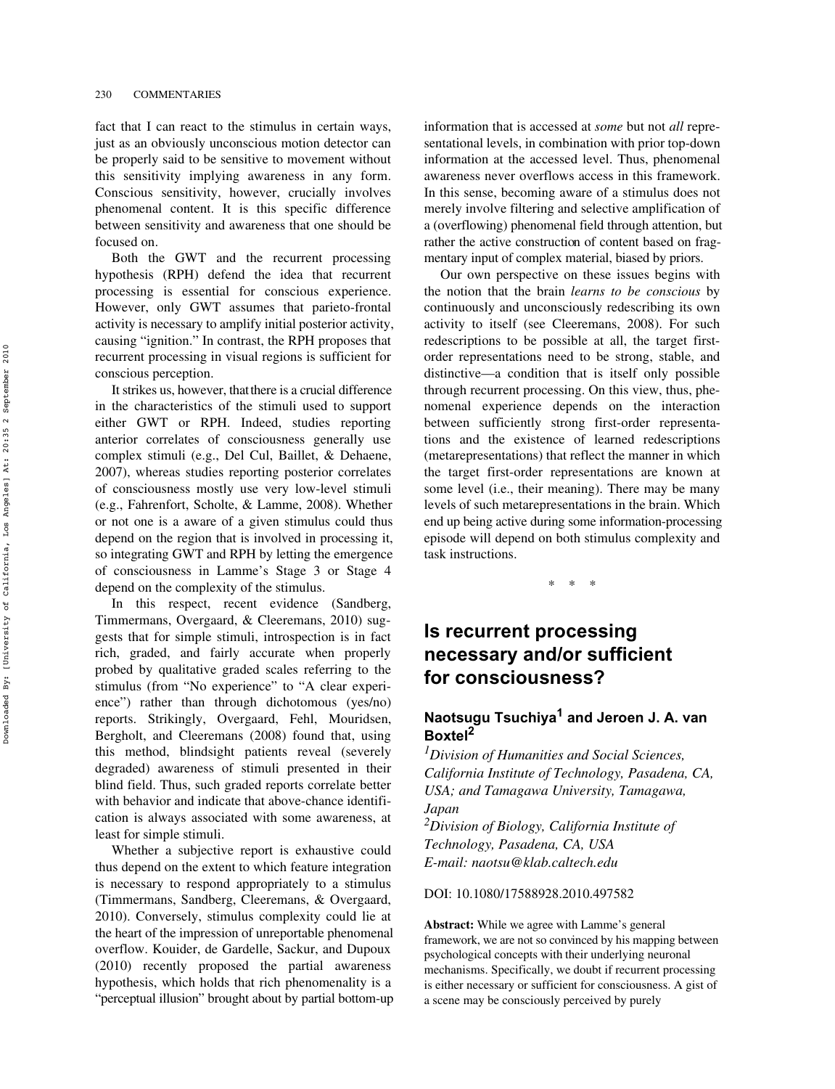fact that I can react to the stimulus in certain ways, just as an obviously unconscious motion detector can be properly said to be sensitive to movement without this sensitivity implying awareness in any form. Conscious sensitivity, however, crucially involves phenomenal content. It is this specific difference between sensitivity and awareness that one should be focused on.

Both the GWT and the recurrent processing hypothesis (RPH) defend the idea that recurrent processing is essential for conscious experience. However, only GWT assumes that parieto-frontal activity is necessary to amplify initial posterior activity, causing "ignition." In contrast, the RPH proposes that recurrent processing in visual regions is sufficient for conscious perception.

It strikes us, however, that there is a crucial difference in the characteristics of the stimuli used to support either GWT or RPH. Indeed, studies reporting anterior correlates of consciousness generally use complex stimuli (e.g., Del Cul, Baillet, & Dehaene, 2007), whereas studies reporting posterior correlates of consciousness mostly use very low-level stimuli (e.g., Fahrenfort, Scholte, & Lamme, 2008). Whether or not one is a aware of a given stimulus could thus depend on the region that is involved in processing it, so integrating GWT and RPH by letting the emergence of consciousness in Lamme's Stage 3 or Stage 4 depend on the complexity of the stimulus.

In this respect, recent evidence (Sandberg, Timmermans, Overgaard, & Cleeremans, 2010) suggests that for simple stimuli, introspection is in fact rich, graded, and fairly accurate when properly probed by qualitative graded scales referring to the stimulus (from "No experience" to "A clear experience") rather than through dichotomous (yes/no) reports. Strikingly, Overgaard, Fehl, Mouridsen, Bergholt, and Cleeremans (2008) found that, using this method, blindsight patients reveal (severely degraded) awareness of stimuli presented in their blind field. Thus, such graded reports correlate better with behavior and indicate that above-chance identification is always associated with some awareness, at least for simple stimuli.

Whether a subjective report is exhaustive could thus depend on the extent to which feature integration is necessary to respond appropriately to a stimulus (Timmermans, Sandberg, Cleeremans, & Overgaard, 2010). Conversely, stimulus complexity could lie at the heart of the impression of unreportable phenomenal overflow. Kouider, de Gardelle, Sackur, and Dupoux (2010) recently proposed the partial awareness hypothesis, which holds that rich phenomenality is a "perceptual illusion" brought about by partial bottom-up information that is accessed at *some* but not *all* representational levels, in combination with prior top-down information at the accessed level. Thus, phenomenal awareness never overflows access in this framework. In this sense, becoming aware of a stimulus does not merely involve filtering and selective amplification of a (overflowing) phenomenal field through attention, but rather the active construction of content based on fragmentary input of complex material, biased by priors.

Our own perspective on these issues begins with the notion that the brain *learns to be conscious* by continuously and unconsciously redescribing its own activity to itself (see Cleeremans, 2008). For such redescriptions to be possible at all, the target firstorder representations need to be strong, stable, and distinctive—a condition that is itself only possible through recurrent processing. On this view, thus, phenomenal experience depends on the interaction between sufficiently strong first-order representations and the existence of learned redescriptions (metarepresentations) that reflect the manner in which the target first-order representations are known at some level (i.e., their meaning). There may be many levels of such metarepresentations in the brain. Which end up being active during some information-processing episode will depend on both stimulus complexity and task instructions.

 $*$ 

## **Is recurrent processing necessary and/or sufficient for consciousness?**

## Naotsugu Tsuchiya<sup>1</sup> and Jeroen J. A. van **Boxtel2**

*1 Division of Humanities and Social Sciences, California Institute of Technology, Pasadena, CA, USA; and Tamagawa University, Tamagawa, Japan 2Division of Biology, California Institute of Technology, Pasadena, CA, USA E-mail: [naotsu@klab.caltech.edu](mailto:naotsu@klab.caltech.edu)*

## DOI: 10.1080/17588928.2010.497582

**Abstract:** While we agree with Lamme's general framework, we are not so convinced by his mapping between psychological concepts with their underlying neuronal mechanisms. Specifically, we doubt if recurrent processing is either necessary or sufficient for consciousness. A gist of a scene may be consciously perceived by purely